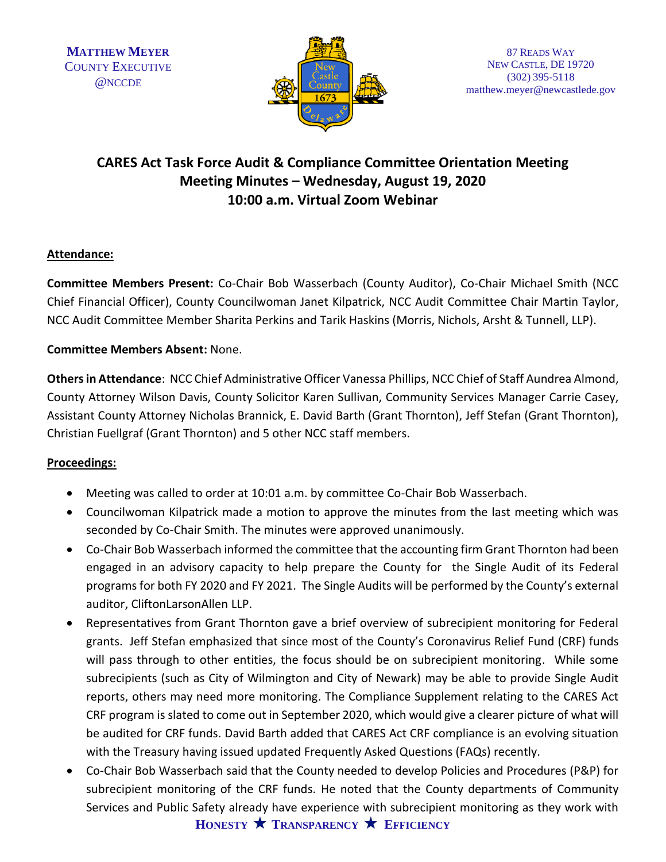

# **CARES Act Task Force Audit & Compliance Committee Orientation Meeting Meeting Minutes – Wednesday, August 19, 2020 10:00 a.m. Virtual Zoom Webinar**

## **Attendance:**

**Committee Members Present:** Co-Chair Bob Wasserbach (County Auditor), Co-Chair Michael Smith (NCC Chief Financial Officer), County Councilwoman Janet Kilpatrick, NCC Audit Committee Chair Martin Taylor, NCC Audit Committee Member Sharita Perkins and Tarik Haskins (Morris, Nichols, Arsht & Tunnell, LLP).

### **Committee Members Absent:** None.

**Others in Attendance**: NCC Chief Administrative Officer Vanessa Phillips, NCC Chief of Staff Aundrea Almond, County Attorney Wilson Davis, County Solicitor Karen Sullivan, Community Services Manager Carrie Casey, Assistant County Attorney Nicholas Brannick, E. David Barth (Grant Thornton), Jeff Stefan (Grant Thornton), Christian Fuellgraf (Grant Thornton) and 5 other NCC staff members.

### **Proceedings:**

- Meeting was called to order at 10:01 a.m. by committee Co-Chair Bob Wasserbach.
- Councilwoman Kilpatrick made a motion to approve the minutes from the last meeting which was seconded by Co-Chair Smith. The minutes were approved unanimously.
- Co-Chair Bob Wasserbach informed the committee that the accounting firm Grant Thornton had been engaged in an advisory capacity to help prepare the County for the Single Audit of its Federal programs for both FY 2020 and FY 2021. The Single Audits will be performed by the County's external auditor, CliftonLarsonAllen LLP.
- Representatives from Grant Thornton gave a brief overview of subrecipient monitoring for Federal grants. Jeff Stefan emphasized that since most of the County's Coronavirus Relief Fund (CRF) funds will pass through to other entities, the focus should be on subrecipient monitoring. While some subrecipients (such as City of Wilmington and City of Newark) may be able to provide Single Audit reports, others may need more monitoring. The Compliance Supplement relating to the CARES Act CRF program is slated to come out in September 2020, which would give a clearer picture of what will be audited for CRF funds. David Barth added that CARES Act CRF compliance is an evolving situation with the Treasury having issued updated Frequently Asked Questions (FAQs) recently.
- **HONESTY TRANSPARENCY EFFICIENCY**  • Co-Chair Bob Wasserbach said that the County needed to develop Policies and Procedures (P&P) for subrecipient monitoring of the CRF funds. He noted that the County departments of Community Services and Public Safety already have experience with subrecipient monitoring as they work with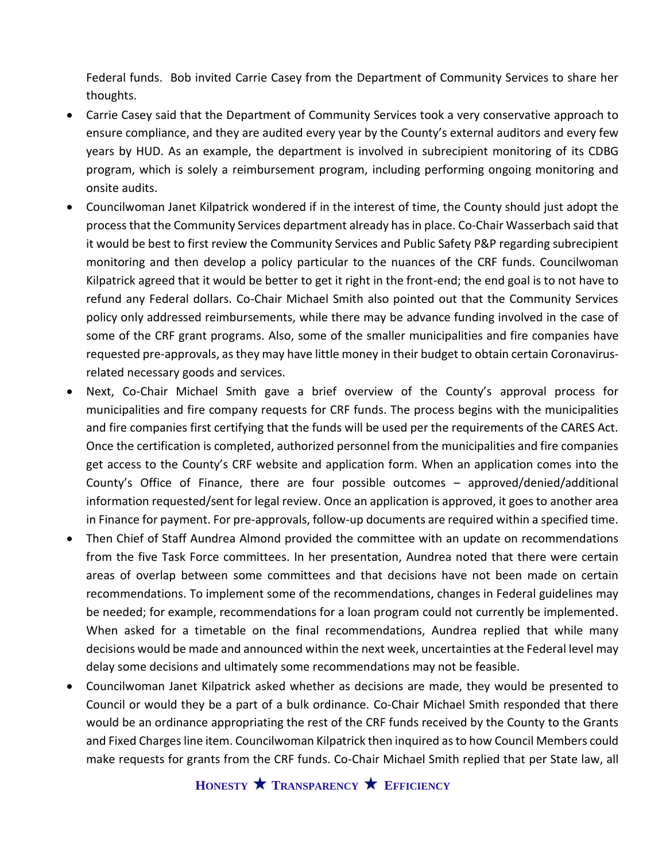Federal funds. Bob invited Carrie Casey from the Department of Community Services to share her thoughts.

- Carrie Casey said that the Department of Community Services took a very conservative approach to ensure compliance, and they are audited every year by the County's external auditors and every few years by HUD. As an example, the department is involved in subrecipient monitoring of its CDBG program, which is solely a reimbursement program, including performing ongoing monitoring and onsite audits.
- Councilwoman Janet Kilpatrick wondered if in the interest of time, the County should just adopt the process that the Community Services department already has in place. Co-Chair Wasserbach said that it would be best to first review the Community Services and Public Safety P&P regarding subrecipient monitoring and then develop a policy particular to the nuances of the CRF funds. Councilwoman Kilpatrick agreed that it would be better to get it right in the front-end; the end goal is to not have to refund any Federal dollars. Co-Chair Michael Smith also pointed out that the Community Services policy only addressed reimbursements, while there may be advance funding involved in the case of some of the CRF grant programs. Also, some of the smaller municipalities and fire companies have requested pre-approvals, as they may have little money in their budget to obtain certain Coronavirusrelated necessary goods and services.
- Next, Co-Chair Michael Smith gave a brief overview of the County's approval process for municipalities and fire company requests for CRF funds. The process begins with the municipalities and fire companies first certifying that the funds will be used per the requirements of the CARES Act. Once the certification is completed, authorized personnel from the municipalities and fire companies get access to the County's CRF website and application form. When an application comes into the County's Office of Finance, there are four possible outcomes – approved/denied/additional information requested/sent for legal review. Once an application is approved, it goes to another area in Finance for payment. For pre-approvals, follow-up documents are required within a specified time.
- Then Chief of Staff Aundrea Almond provided the committee with an update on recommendations from the five Task Force committees. In her presentation, Aundrea noted that there were certain areas of overlap between some committees and that decisions have not been made on certain recommendations. To implement some of the recommendations, changes in Federal guidelines may be needed; for example, recommendations for a loan program could not currently be implemented. When asked for a timetable on the final recommendations, Aundrea replied that while many decisions would be made and announced within the next week, uncertainties at the Federal level may delay some decisions and ultimately some recommendations may not be feasible.
- Councilwoman Janet Kilpatrick asked whether as decisions are made, they would be presented to Council or would they be a part of a bulk ordinance. Co-Chair Michael Smith responded that there would be an ordinance appropriating the rest of the CRF funds received by the County to the Grants and Fixed Charges line item. Councilwoman Kilpatrick then inquired as to how Council Members could make requests for grants from the CRF funds. Co-Chair Michael Smith replied that per State law, all